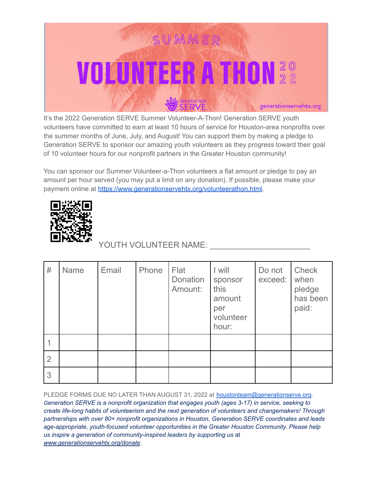

It's the 2022 Generation SERVE Summer Volunteer-A-Thon! Generation SERVE youth volunteers have committed to earn at least 10 hours of service for Houston-area nonprofits over the summer months of June, July, and August! You can support them by making a pledge to Generation SERVE to sponsor our amazing youth volunteers as they progress toward their goal of 10 volunteer hours for our nonprofit partners in the Greater Houston community!

You can sponsor our Summer Volunteer-a-Thon volunteers a flat amount or pledge to pay an amount per hour served (you may put a limit on any donation). If possible, please make your payment online at <https://www.generationservehtx.org/volunteerathon.html>.



## YOUTH VOLUNTEER NAME:

| #              | <b>Name</b> | Email | Phone | Flat<br>Donation<br>Amount: | I will<br>sponsor<br>this<br>amount<br>per<br>volunteer<br>hour: | Do not<br>exceed: | <b>Check</b><br>when<br>pledge<br>has been<br>paid: |
|----------------|-------------|-------|-------|-----------------------------|------------------------------------------------------------------|-------------------|-----------------------------------------------------|
|                |             |       |       |                             |                                                                  |                   |                                                     |
| $\overline{2}$ |             |       |       |                             |                                                                  |                   |                                                     |
| 3              |             |       |       |                             |                                                                  |                   |                                                     |

PLEDGE FORMS DUE NO LATER THAN AUGUST 31, 2022 at [houstonteam@generationserve.org](mailto:houstonteam@generationserve.org). *Generation SERVE is a nonprofit organization that engages youth (ages 3-17) in service, seeking to create life-long habits of volunteerism and the next generation of volunteers and changemakers! Through partnerships with over 80+ nonprofit organizations in Houston, Generation SERVE coordinates and leads age-appropriate, youth-focused volunteer opportunities in the Greater Houston Community. Please help us inspire a generation of community-inspired leaders by supporting us* at *www.generationservehtx.org/donate*.